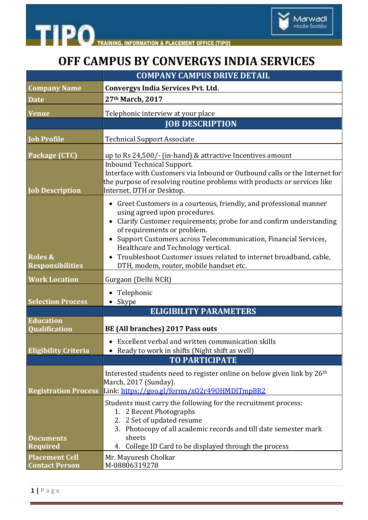



## **OFF CAMPUS BY CONVERGYS INDIA SERVICES**

|                                                | <b>COMPANY CAMPUS DRIVE DETAIL</b>                                                                                                                                                                                                                                                                                                                                                                                                     |
|------------------------------------------------|----------------------------------------------------------------------------------------------------------------------------------------------------------------------------------------------------------------------------------------------------------------------------------------------------------------------------------------------------------------------------------------------------------------------------------------|
| <b>Company Name</b>                            | <b>Convergys India Services Pvt. Ltd.</b>                                                                                                                                                                                                                                                                                                                                                                                              |
| <b>Date</b>                                    | 27th March, 2017                                                                                                                                                                                                                                                                                                                                                                                                                       |
| <b>Venue</b>                                   | Telephonic interview at your place                                                                                                                                                                                                                                                                                                                                                                                                     |
|                                                | <b>JOB DESCRIPTION</b>                                                                                                                                                                                                                                                                                                                                                                                                                 |
| <b>Job Profile</b>                             | <b>Technical Support Associate</b>                                                                                                                                                                                                                                                                                                                                                                                                     |
| Package (CTC)<br><b>Job Description</b>        | up to Rs 24,500/- (in-hand) & attractive Incentives amount<br><b>Inbound Technical Support.</b><br>Interface with Customers via Inbound or Outbound calls or the Internet for<br>the purpose of resolving routine problems with products or services like<br>Internet, DTH or Desktop.                                                                                                                                                 |
| <b>Roles &amp;</b><br><b>Responsibilities</b>  | • Greet Customers in a courteous, friendly, and professional manner<br>using agreed upon procedures.<br>• Clarify Customer requirements; probe for and confirm understanding<br>of requirements or problem.<br>Support Customers across Telecommunication, Financial Services,<br>Healthcare and Technology vertical.<br>Troubleshoot Customer issues related to internet broadband, cable,<br>DTH, modem, router, mobile handset etc. |
| <b>Work Location</b>                           | Gurgaon (Delhi NCR)                                                                                                                                                                                                                                                                                                                                                                                                                    |
| <b>Selection Process</b>                       | Telephonic<br>Skype                                                                                                                                                                                                                                                                                                                                                                                                                    |
|                                                | <b>ELIGIBILITY PARAMETERS</b>                                                                                                                                                                                                                                                                                                                                                                                                          |
| <b>Education</b><br><b>Qualification</b>       | BE (All branches) 2017 Pass outs                                                                                                                                                                                                                                                                                                                                                                                                       |
| <b>Eligibility Criteria</b>                    | Excellent verbal and written communication skills<br>• Ready to work in shifts (Night shift as well)<br><b>TO PARTICIPATE</b>                                                                                                                                                                                                                                                                                                          |
| <b>Registration Process</b>                    | Interested students need to register online on below given link by 26 <sup>th</sup><br>March, 2017 (Sunday).<br>Link: https://goo.gl/forms/x02r490HMDITmp8R2                                                                                                                                                                                                                                                                           |
| <b>Documents</b><br><b>Required</b>            | Students must carry the following for the recruitment process:<br>1. 2 Recent Photographs<br>2. 2 Set of updated resume<br>3. Photocopy of all academic records and till date semester mark<br>sheets<br>College ID Card to be displayed through the process<br>4.                                                                                                                                                                     |
| <b>Placement Cell</b><br><b>Contact Person</b> | Mr. Mayuresh Cholkar<br>M-08806319278                                                                                                                                                                                                                                                                                                                                                                                                  |